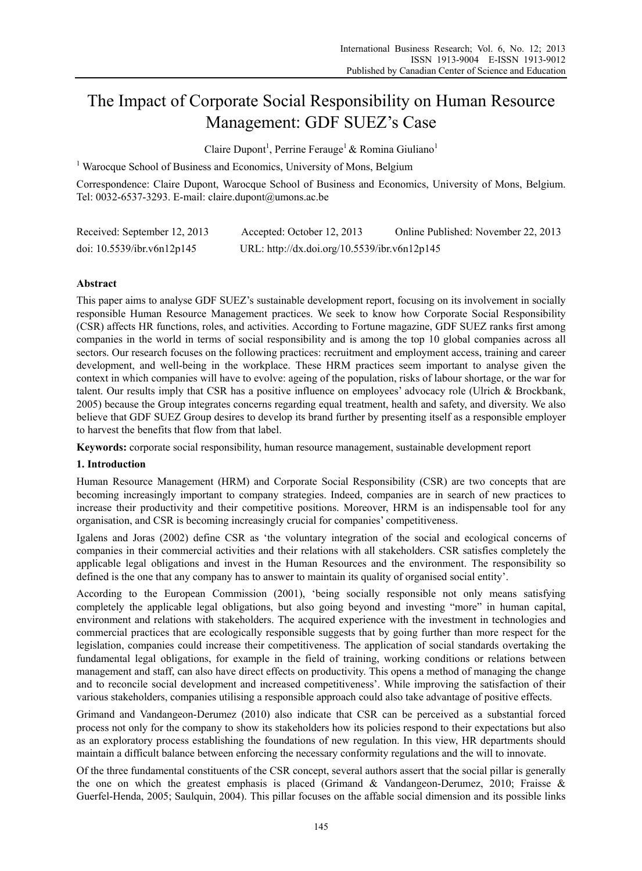# The Impact of Corporate Social Responsibility on Human Resource Management: GDF SUEZ's Case

Claire Dupont<sup>1</sup>, Perrine Ferauge<sup>1</sup> & Romina Giuliano<sup>1</sup>

<sup>1</sup> Warocque School of Business and Economics, University of Mons, Belgium

Correspondence: Claire Dupont, Warocque School of Business and Economics, University of Mons, Belgium. Tel: 0032-6537-3293. E-mail: claire.dupont@umons.ac.be

| Received: September 12, 2013  | Accepted: October 12, 2013                   | Online Published: November 22, 2013 |
|-------------------------------|----------------------------------------------|-------------------------------------|
| doi: $10.5539$ /ibr.v6n12p145 | URL: http://dx.doi.org/10.5539/ibr.v6n12p145 |                                     |

# **Abstract**

This paper aims to analyse GDF SUEZ's sustainable development report, focusing on its involvement in socially responsible Human Resource Management practices. We seek to know how Corporate Social Responsibility (CSR) affects HR functions, roles, and activities. According to Fortune magazine, GDF SUEZ ranks first among companies in the world in terms of social responsibility and is among the top 10 global companies across all sectors. Our research focuses on the following practices: recruitment and employment access, training and career development, and well-being in the workplace. These HRM practices seem important to analyse given the context in which companies will have to evolve: ageing of the population, risks of labour shortage, or the war for talent. Our results imply that CSR has a positive influence on employees' advocacy role (Ulrich & Brockbank, 2005) because the Group integrates concerns regarding equal treatment, health and safety, and diversity. We also believe that GDF SUEZ Group desires to develop its brand further by presenting itself as a responsible employer to harvest the benefits that flow from that label.

**Keywords:** corporate social responsibility, human resource management, sustainable development report

# **1. Introduction**

Human Resource Management (HRM) and Corporate Social Responsibility (CSR) are two concepts that are becoming increasingly important to company strategies. Indeed, companies are in search of new practices to increase their productivity and their competitive positions. Moreover, HRM is an indispensable tool for any organisation, and CSR is becoming increasingly crucial for companies' competitiveness.

Igalens and Joras (2002) define CSR as 'the voluntary integration of the social and ecological concerns of companies in their commercial activities and their relations with all stakeholders. CSR satisfies completely the applicable legal obligations and invest in the Human Resources and the environment. The responsibility so defined is the one that any company has to answer to maintain its quality of organised social entity'.

According to the European Commission (2001), 'being socially responsible not only means satisfying completely the applicable legal obligations, but also going beyond and investing "more" in human capital, environment and relations with stakeholders. The acquired experience with the investment in technologies and commercial practices that are ecologically responsible suggests that by going further than more respect for the legislation, companies could increase their competitiveness. The application of social standards overtaking the fundamental legal obligations, for example in the field of training, working conditions or relations between management and staff, can also have direct effects on productivity. This opens a method of managing the change and to reconcile social development and increased competitiveness'. While improving the satisfaction of their various stakeholders, companies utilising a responsible approach could also take advantage of positive effects.

Grimand and Vandangeon-Derumez (2010) also indicate that CSR can be perceived as a substantial forced process not only for the company to show its stakeholders how its policies respond to their expectations but also as an exploratory process establishing the foundations of new regulation. In this view, HR departments should maintain a difficult balance between enforcing the necessary conformity regulations and the will to innovate.

Of the three fundamental constituents of the CSR concept, several authors assert that the social pillar is generally the one on which the greatest emphasis is placed (Grimand & Vandangeon-Derumez, 2010; Fraisse & Guerfel-Henda, 2005; Saulquin, 2004). This pillar focuses on the affable social dimension and its possible links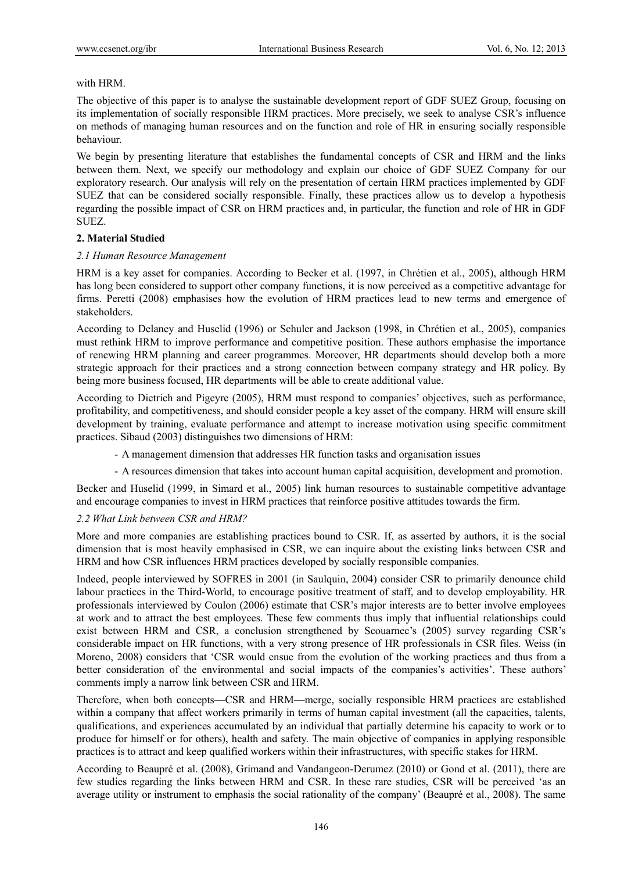#### with HRM.

The objective of this paper is to analyse the sustainable development report of GDF SUEZ Group, focusing on its implementation of socially responsible HRM practices. More precisely, we seek to analyse CSR's influence on methods of managing human resources and on the function and role of HR in ensuring socially responsible behaviour.

We begin by presenting literature that establishes the fundamental concepts of CSR and HRM and the links between them. Next, we specify our methodology and explain our choice of GDF SUEZ Company for our exploratory research. Our analysis will rely on the presentation of certain HRM practices implemented by GDF SUEZ that can be considered socially responsible. Finally, these practices allow us to develop a hypothesis regarding the possible impact of CSR on HRM practices and, in particular, the function and role of HR in GDF SUEZ.

## **2. Material Studied**

## *2.1 Human Resource Management*

HRM is a key asset for companies. According to Becker et al. (1997, in Chrétien et al., 2005), although HRM has long been considered to support other company functions, it is now perceived as a competitive advantage for firms. Peretti (2008) emphasises how the evolution of HRM practices lead to new terms and emergence of stakeholders.

According to Delaney and Huselid (1996) or Schuler and Jackson (1998, in Chrétien et al., 2005), companies must rethink HRM to improve performance and competitive position. These authors emphasise the importance of renewing HRM planning and career programmes. Moreover, HR departments should develop both a more strategic approach for their practices and a strong connection between company strategy and HR policy. By being more business focused, HR departments will be able to create additional value.

According to Dietrich and Pigeyre (2005), HRM must respond to companies' objectives, such as performance, profitability, and competitiveness, and should consider people a key asset of the company. HRM will ensure skill development by training, evaluate performance and attempt to increase motivation using specific commitment practices. Sibaud (2003) distinguishes two dimensions of HRM:

- A management dimension that addresses HR function tasks and organisation issues
- A resources dimension that takes into account human capital acquisition, development and promotion.

Becker and Huselid (1999, in Simard et al., 2005) link human resources to sustainable competitive advantage and encourage companies to invest in HRM practices that reinforce positive attitudes towards the firm.

### *2.2 What Link between CSR and HRM?*

More and more companies are establishing practices bound to CSR. If, as asserted by authors, it is the social dimension that is most heavily emphasised in CSR, we can inquire about the existing links between CSR and HRM and how CSR influences HRM practices developed by socially responsible companies.

Indeed, people interviewed by SOFRES in 2001 (in Saulquin, 2004) consider CSR to primarily denounce child labour practices in the Third-World, to encourage positive treatment of staff, and to develop employability. HR professionals interviewed by Coulon (2006) estimate that CSR's major interests are to better involve employees at work and to attract the best employees. These few comments thus imply that influential relationships could exist between HRM and CSR, a conclusion strengthened by Scouarnec's (2005) survey regarding CSR's considerable impact on HR functions, with a very strong presence of HR professionals in CSR files. Weiss (in Moreno, 2008) considers that 'CSR would ensue from the evolution of the working practices and thus from a better consideration of the environmental and social impacts of the companies's activities'. These authors' comments imply a narrow link between CSR and HRM.

Therefore, when both concepts—CSR and HRM—merge, socially responsible HRM practices are established within a company that affect workers primarily in terms of human capital investment (all the capacities, talents, qualifications, and experiences accumulated by an individual that partially determine his capacity to work or to produce for himself or for others), health and safety. The main objective of companies in applying responsible practices is to attract and keep qualified workers within their infrastructures, with specific stakes for HRM.

According to Beaupré et al. (2008), Grimand and Vandangeon-Derumez (2010) or Gond et al. (2011), there are few studies regarding the links between HRM and CSR. In these rare studies, CSR will be perceived 'as an average utility or instrument to emphasis the social rationality of the company' (Beaupré et al., 2008). The same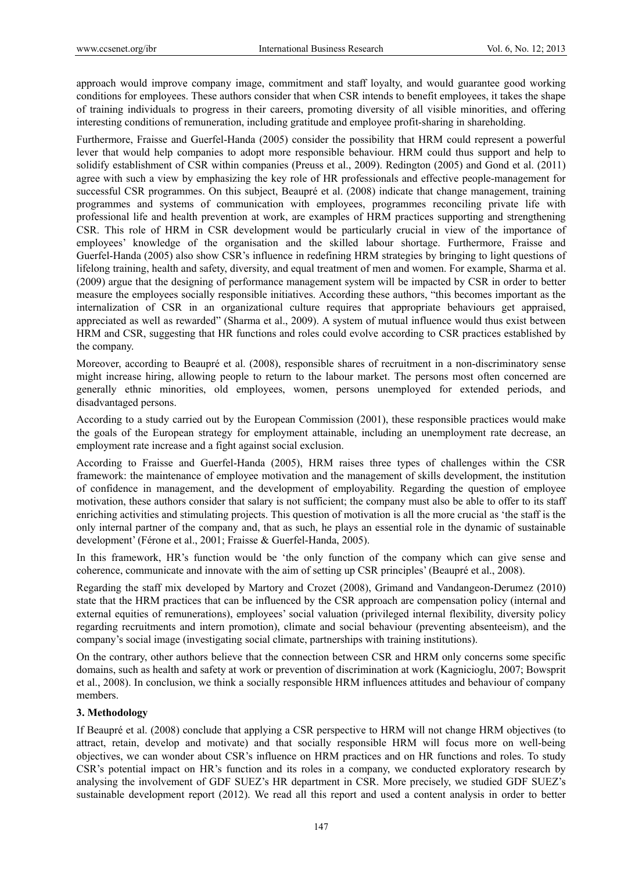approach would improve company image, commitment and staff loyalty, and would guarantee good working conditions for employees. These authors consider that when CSR intends to benefit employees, it takes the shape of training individuals to progress in their careers, promoting diversity of all visible minorities, and offering interesting conditions of remuneration, including gratitude and employee profit-sharing in shareholding.

Furthermore, Fraisse and Guerfel-Handa (2005) consider the possibility that HRM could represent a powerful lever that would help companies to adopt more responsible behaviour. HRM could thus support and help to solidify establishment of CSR within companies (Preuss et al., 2009). Redington (2005) and Gond et al. (2011) agree with such a view by emphasizing the key role of HR professionals and effective people-management for successful CSR programmes. On this subject, Beaupré et al. (2008) indicate that change management, training programmes and systems of communication with employees, programmes reconciling private life with professional life and health prevention at work, are examples of HRM practices supporting and strengthening CSR. This role of HRM in CSR development would be particularly crucial in view of the importance of employees' knowledge of the organisation and the skilled labour shortage. Furthermore, Fraisse and Guerfel-Handa (2005) also show CSR's influence in redefining HRM strategies by bringing to light questions of lifelong training, health and safety, diversity, and equal treatment of men and women. For example, Sharma et al. (2009) argue that the designing of performance management system will be impacted by CSR in order to better measure the employees socially responsible initiatives. According these authors, "this becomes important as the internalization of CSR in an organizational culture requires that appropriate behaviours get appraised, appreciated as well as rewarded" (Sharma et al., 2009). A system of mutual influence would thus exist between HRM and CSR, suggesting that HR functions and roles could evolve according to CSR practices established by the company.

Moreover, according to Beaupré et al. (2008), responsible shares of recruitment in a non-discriminatory sense might increase hiring, allowing people to return to the labour market. The persons most often concerned are generally ethnic minorities, old employees, women, persons unemployed for extended periods, and disadvantaged persons.

According to a study carried out by the European Commission (2001), these responsible practices would make the goals of the European strategy for employment attainable, including an unemployment rate decrease, an employment rate increase and a fight against social exclusion.

According to Fraisse and Guerfel-Handa (2005), HRM raises three types of challenges within the CSR framework: the maintenance of employee motivation and the management of skills development, the institution of confidence in management, and the development of employability. Regarding the question of employee motivation, these authors consider that salary is not sufficient; the company must also be able to offer to its staff enriching activities and stimulating projects. This question of motivation is all the more crucial as 'the staff is the only internal partner of the company and, that as such, he plays an essential role in the dynamic of sustainable development' (Férone et al., 2001; Fraisse & Guerfel-Handa, 2005).

In this framework, HR's function would be 'the only function of the company which can give sense and coherence, communicate and innovate with the aim of setting up CSR principles' (Beaupré et al., 2008).

Regarding the staff mix developed by Martory and Crozet (2008), Grimand and Vandangeon-Derumez (2010) state that the HRM practices that can be influenced by the CSR approach are compensation policy (internal and external equities of remunerations), employees' social valuation (privileged internal flexibility, diversity policy regarding recruitments and intern promotion), climate and social behaviour (preventing absenteeism), and the company's social image (investigating social climate, partnerships with training institutions).

On the contrary, other authors believe that the connection between CSR and HRM only concerns some specific domains, such as health and safety at work or prevention of discrimination at work (Kagnicioglu, 2007; Bowsprit et al., 2008). In conclusion, we think a socially responsible HRM influences attitudes and behaviour of company members.

# **3. Methodology**

If Beaupré et al. (2008) conclude that applying a CSR perspective to HRM will not change HRM objectives (to attract, retain, develop and motivate) and that socially responsible HRM will focus more on well-being objectives, we can wonder about CSR's influence on HRM practices and on HR functions and roles. To study CSR's potential impact on HR's function and its roles in a company, we conducted exploratory research by analysing the involvement of GDF SUEZ's HR department in CSR. More precisely, we studied GDF SUEZ's sustainable development report (2012). We read all this report and used a content analysis in order to better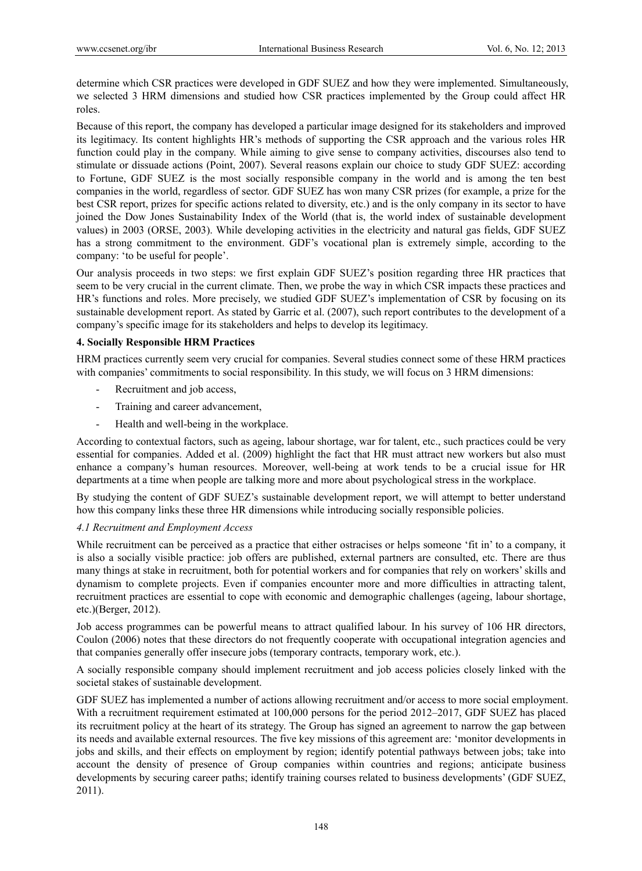determine which CSR practices were developed in GDF SUEZ and how they were implemented. Simultaneously, we selected 3 HRM dimensions and studied how CSR practices implemented by the Group could affect HR roles.

Because of this report, the company has developed a particular image designed for its stakeholders and improved its legitimacy. Its content highlights HR's methods of supporting the CSR approach and the various roles HR function could play in the company. While aiming to give sense to company activities, discourses also tend to stimulate or dissuade actions (Point, 2007). Several reasons explain our choice to study GDF SUEZ: according to Fortune, GDF SUEZ is the most socially responsible company in the world and is among the ten best companies in the world, regardless of sector. GDF SUEZ has won many CSR prizes (for example, a prize for the best CSR report, prizes for specific actions related to diversity, etc.) and is the only company in its sector to have joined the Dow Jones Sustainability Index of the World (that is, the world index of sustainable development values) in 2003 (ORSE, 2003). While developing activities in the electricity and natural gas fields, GDF SUEZ has a strong commitment to the environment. GDF's vocational plan is extremely simple, according to the company: 'to be useful for people'.

Our analysis proceeds in two steps: we first explain GDF SUEZ's position regarding three HR practices that seem to be very crucial in the current climate. Then, we probe the way in which CSR impacts these practices and HR's functions and roles. More precisely, we studied GDF SUEZ's implementation of CSR by focusing on its sustainable development report. As stated by Garric et al. (2007), such report contributes to the development of a company's specific image for its stakeholders and helps to develop its legitimacy.

# **4. Socially Responsible HRM Practices**

HRM practices currently seem very crucial for companies. Several studies connect some of these HRM practices with companies' commitments to social responsibility. In this study, we will focus on 3 HRM dimensions:

- Recruitment and job access,
- Training and career advancement,
- Health and well-being in the workplace.

According to contextual factors, such as ageing, labour shortage, war for talent, etc., such practices could be very essential for companies. Added et al. (2009) highlight the fact that HR must attract new workers but also must enhance a company's human resources. Moreover, well-being at work tends to be a crucial issue for HR departments at a time when people are talking more and more about psychological stress in the workplace.

By studying the content of GDF SUEZ's sustainable development report, we will attempt to better understand how this company links these three HR dimensions while introducing socially responsible policies.

## *4.1 Recruitment and Employment Access*

While recruitment can be perceived as a practice that either ostracises or helps someone 'fit in' to a company, it is also a socially visible practice: job offers are published, external partners are consulted, etc. There are thus many things at stake in recruitment, both for potential workers and for companies that rely on workers' skills and dynamism to complete projects. Even if companies encounter more and more difficulties in attracting talent, recruitment practices are essential to cope with economic and demographic challenges (ageing, labour shortage, etc.)(Berger, 2012).

Job access programmes can be powerful means to attract qualified labour. In his survey of 106 HR directors, Coulon (2006) notes that these directors do not frequently cooperate with occupational integration agencies and that companies generally offer insecure jobs (temporary contracts, temporary work, etc.).

A socially responsible company should implement recruitment and job access policies closely linked with the societal stakes of sustainable development.

GDF SUEZ has implemented a number of actions allowing recruitment and/or access to more social employment. With a recruitment requirement estimated at 100,000 persons for the period 2012–2017, GDF SUEZ has placed its recruitment policy at the heart of its strategy. The Group has signed an agreement to narrow the gap between its needs and available external resources. The five key missions of this agreement are: 'monitor developments in jobs and skills, and their effects on employment by region; identify potential pathways between jobs; take into account the density of presence of Group companies within countries and regions; anticipate business developments by securing career paths; identify training courses related to business developments' (GDF SUEZ, 2011).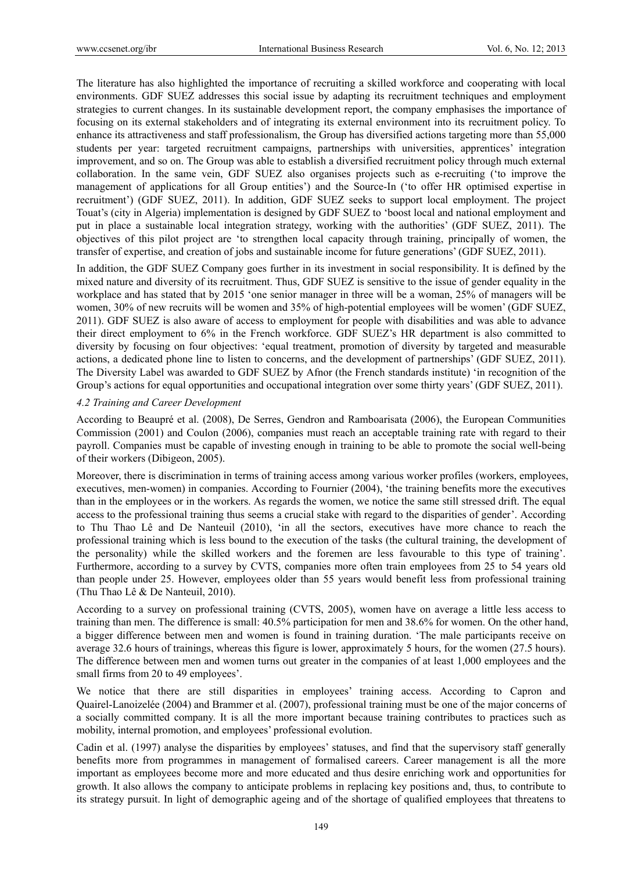The literature has also highlighted the importance of recruiting a skilled workforce and cooperating with local environments. GDF SUEZ addresses this social issue by adapting its recruitment techniques and employment strategies to current changes. In its sustainable development report, the company emphasises the importance of focusing on its external stakeholders and of integrating its external environment into its recruitment policy. To enhance its attractiveness and staff professionalism, the Group has diversified actions targeting more than 55,000 students per year: targeted recruitment campaigns, partnerships with universities, apprentices' integration improvement, and so on. The Group was able to establish a diversified recruitment policy through much external collaboration. In the same vein, GDF SUEZ also organises projects such as e-recruiting ('to improve the management of applications for all Group entities') and the Source-In ('to offer HR optimised expertise in recruitment') (GDF SUEZ, 2011). In addition, GDF SUEZ seeks to support local employment. The project Touat's (city in Algeria) implementation is designed by GDF SUEZ to 'boost local and national employment and put in place a sustainable local integration strategy, working with the authorities' (GDF SUEZ, 2011). The objectives of this pilot project are 'to strengthen local capacity through training, principally of women, the transfer of expertise, and creation of jobs and sustainable income for future generations' (GDF SUEZ, 2011).

In addition, the GDF SUEZ Company goes further in its investment in social responsibility. It is defined by the mixed nature and diversity of its recruitment. Thus, GDF SUEZ is sensitive to the issue of gender equality in the workplace and has stated that by 2015 'one senior manager in three will be a woman, 25% of managers will be women, 30% of new recruits will be women and 35% of high-potential employees will be women' (GDF SUEZ, 2011). GDF SUEZ is also aware of access to employment for people with disabilities and was able to advance their direct employment to 6% in the French workforce. GDF SUEZ's HR department is also committed to diversity by focusing on four objectives: 'equal treatment, promotion of diversity by targeted and measurable actions, a dedicated phone line to listen to concerns, and the development of partnerships' (GDF SUEZ, 2011). The Diversity Label was awarded to GDF SUEZ by Afnor (the French standards institute) 'in recognition of the Group's actions for equal opportunities and occupational integration over some thirty years' (GDF SUEZ, 2011).

### *4.2 Training and Career Development*

According to Beaupré et al. (2008), De Serres, Gendron and Ramboarisata (2006), the European Communities Commission (2001) and Coulon (2006), companies must reach an acceptable training rate with regard to their payroll. Companies must be capable of investing enough in training to be able to promote the social well-being of their workers (Dibigeon, 2005).

Moreover, there is discrimination in terms of training access among various worker profiles (workers, employees, executives, men-women) in companies. According to Fournier (2004), 'the training benefits more the executives than in the employees or in the workers. As regards the women, we notice the same still stressed drift. The equal access to the professional training thus seems a crucial stake with regard to the disparities of gender'. According to Thu Thao Lê and De Nanteuil (2010), 'in all the sectors, executives have more chance to reach the professional training which is less bound to the execution of the tasks (the cultural training, the development of the personality) while the skilled workers and the foremen are less favourable to this type of training'. Furthermore, according to a survey by CVTS, companies more often train employees from 25 to 54 years old than people under 25. However, employees older than 55 years would benefit less from professional training (Thu Thao Lê & De Nanteuil, 2010).

According to a survey on professional training (CVTS, 2005), women have on average a little less access to training than men. The difference is small: 40.5% participation for men and 38.6% for women. On the other hand, a bigger difference between men and women is found in training duration. 'The male participants receive on average 32.6 hours of trainings, whereas this figure is lower, approximately 5 hours, for the women (27.5 hours). The difference between men and women turns out greater in the companies of at least 1,000 employees and the small firms from 20 to 49 employees'.

We notice that there are still disparities in employees' training access. According to Capron and Quairel-Lanoizelée (2004) and Brammer et al. (2007), professional training must be one of the major concerns of a socially committed company. It is all the more important because training contributes to practices such as mobility, internal promotion, and employees' professional evolution.

Cadin et al. (1997) analyse the disparities by employees' statuses, and find that the supervisory staff generally benefits more from programmes in management of formalised careers. Career management is all the more important as employees become more and more educated and thus desire enriching work and opportunities for growth. It also allows the company to anticipate problems in replacing key positions and, thus, to contribute to its strategy pursuit. In light of demographic ageing and of the shortage of qualified employees that threatens to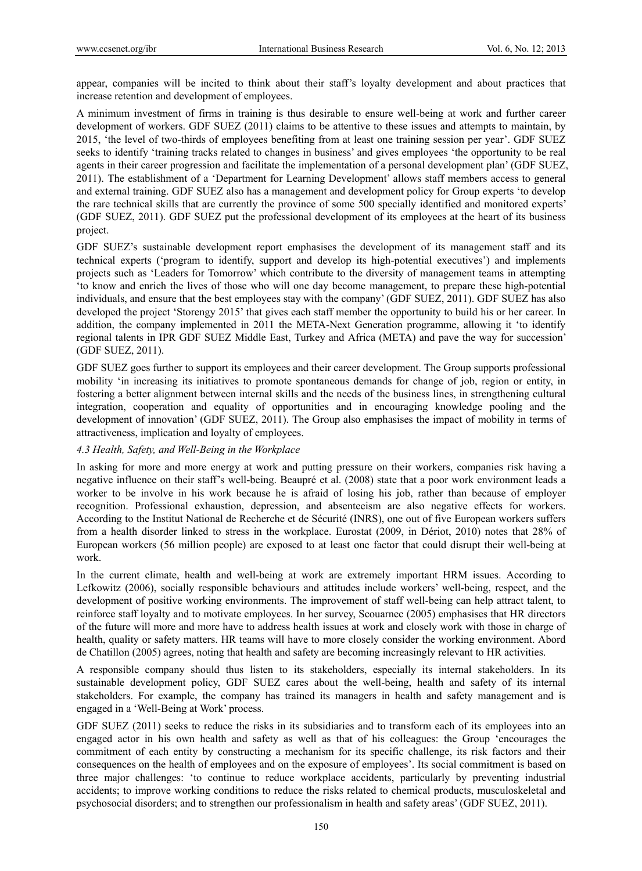appear, companies will be incited to think about their staff's loyalty development and about practices that increase retention and development of employees.

A minimum investment of firms in training is thus desirable to ensure well-being at work and further career development of workers. GDF SUEZ (2011) claims to be attentive to these issues and attempts to maintain, by 2015, 'the level of two-thirds of employees benefiting from at least one training session per year'. GDF SUEZ seeks to identify 'training tracks related to changes in business' and gives employees 'the opportunity to be real agents in their career progression and facilitate the implementation of a personal development plan' (GDF SUEZ, 2011). The establishment of a 'Department for Learning Development' allows staff members access to general and external training. GDF SUEZ also has a management and development policy for Group experts 'to develop the rare technical skills that are currently the province of some 500 specially identified and monitored experts' (GDF SUEZ, 2011). GDF SUEZ put the professional development of its employees at the heart of its business project.

GDF SUEZ's sustainable development report emphasises the development of its management staff and its technical experts ('program to identify, support and develop its high-potential executives') and implements projects such as 'Leaders for Tomorrow' which contribute to the diversity of management teams in attempting 'to know and enrich the lives of those who will one day become management, to prepare these high-potential individuals, and ensure that the best employees stay with the company' (GDF SUEZ, 2011). GDF SUEZ has also developed the project 'Storengy 2015' that gives each staff member the opportunity to build his or her career. In addition, the company implemented in 2011 the META-Next Generation programme, allowing it 'to identify regional talents in IPR GDF SUEZ Middle East, Turkey and Africa (META) and pave the way for succession' (GDF SUEZ, 2011).

GDF SUEZ goes further to support its employees and their career development. The Group supports professional mobility 'in increasing its initiatives to promote spontaneous demands for change of job, region or entity, in fostering a better alignment between internal skills and the needs of the business lines, in strengthening cultural integration, cooperation and equality of opportunities and in encouraging knowledge pooling and the development of innovation' (GDF SUEZ, 2011). The Group also emphasises the impact of mobility in terms of attractiveness, implication and loyalty of employees.

# *4.3 Health, Safety, and Well-Being in the Workplace*

In asking for more and more energy at work and putting pressure on their workers, companies risk having a negative influence on their staff's well-being. Beaupré et al. (2008) state that a poor work environment leads a worker to be involve in his work because he is afraid of losing his job, rather than because of employer recognition. Professional exhaustion, depression, and absenteeism are also negative effects for workers. According to the Institut National de Recherche et de Sécurité (INRS), one out of five European workers suffers from a health disorder linked to stress in the workplace. Eurostat (2009, in Dériot, 2010) notes that 28% of European workers (56 million people) are exposed to at least one factor that could disrupt their well-being at work.

In the current climate, health and well-being at work are extremely important HRM issues. According to Lefkowitz (2006), socially responsible behaviours and attitudes include workers' well-being, respect, and the development of positive working environments. The improvement of staff well-being can help attract talent, to reinforce staff loyalty and to motivate employees. In her survey, Scouarnec (2005) emphasises that HR directors of the future will more and more have to address health issues at work and closely work with those in charge of health, quality or safety matters. HR teams will have to more closely consider the working environment. Abord de Chatillon (2005) agrees, noting that health and safety are becoming increasingly relevant to HR activities.

A responsible company should thus listen to its stakeholders, especially its internal stakeholders. In its sustainable development policy, GDF SUEZ cares about the well-being, health and safety of its internal stakeholders. For example, the company has trained its managers in health and safety management and is engaged in a 'Well-Being at Work' process.

GDF SUEZ (2011) seeks to reduce the risks in its subsidiaries and to transform each of its employees into an engaged actor in his own health and safety as well as that of his colleagues: the Group 'encourages the commitment of each entity by constructing a mechanism for its specific challenge, its risk factors and their consequences on the health of employees and on the exposure of employees'. Its social commitment is based on three major challenges: 'to continue to reduce workplace accidents, particularly by preventing industrial accidents; to improve working conditions to reduce the risks related to chemical products, musculoskeletal and psychosocial disorders; and to strengthen our professionalism in health and safety areas' (GDF SUEZ, 2011).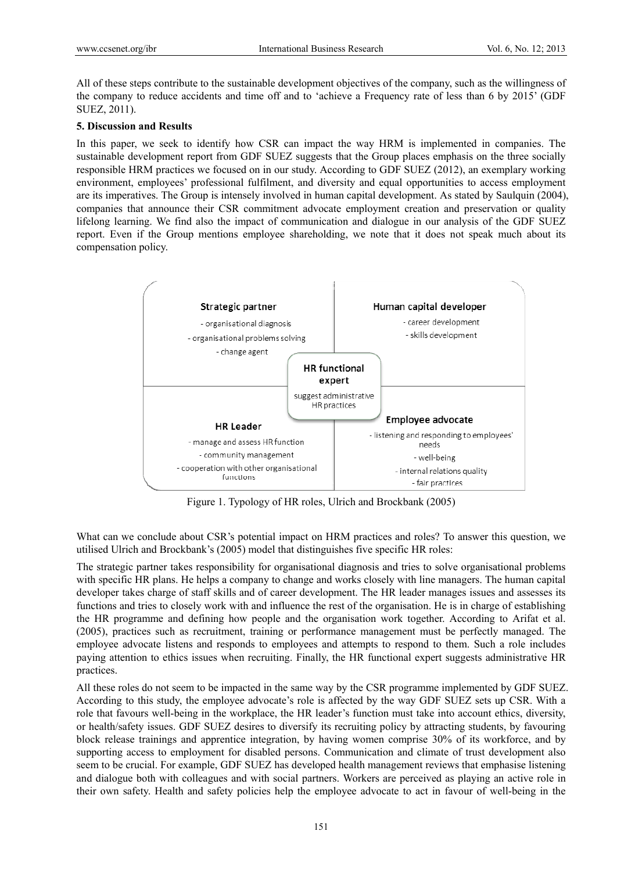All of these steps contribute to the sustainable development objectives of the company, such as the willingness of the company to reduce accidents and time off and to 'achieve a Frequency rate of less than 6 by 2015' (GDF SUEZ, 2011).

### **5. Discussion and Results**

In this paper, we seek to identify how CSR can impact the way HRM is implemented in companies. The sustainable development report from GDF SUEZ suggests that the Group places emphasis on the three socially responsible HRM practices we focused on in our study. According to GDF SUEZ (2012), an exemplary working environment, employees' professional fulfilment, and diversity and equal opportunities to access employment are its imperatives. The Group is intensely involved in human capital development. As stated by Saulquin (2004), companies that announce their CSR commitment advocate employment creation and preservation or quality lifelong learning. We find also the impact of communication and dialogue in our analysis of the GDF SUEZ report. Even if the Group mentions employee shareholding, we note that it does not speak much about its compensation policy.



Figure 1. Typology of HR roles, Ulrich and Brockbank (2005)

What can we conclude about CSR's potential impact on HRM practices and roles? To answer this question, we utilised Ulrich and Brockbank's (2005) model that distinguishes five specific HR roles:

The strategic partner takes responsibility for organisational diagnosis and tries to solve organisational problems with specific HR plans. He helps a company to change and works closely with line managers. The human capital developer takes charge of staff skills and of career development. The HR leader manages issues and assesses its functions and tries to closely work with and influence the rest of the organisation. He is in charge of establishing the HR programme and defining how people and the organisation work together. According to Arifat et al. (2005), practices such as recruitment, training or performance management must be perfectly managed. The employee advocate listens and responds to employees and attempts to respond to them. Such a role includes paying attention to ethics issues when recruiting. Finally, the HR functional expert suggests administrative HR practices.

All these roles do not seem to be impacted in the same way by the CSR programme implemented by GDF SUEZ. According to this study, the employee advocate's role is affected by the way GDF SUEZ sets up CSR. With a role that favours well-being in the workplace, the HR leader's function must take into account ethics, diversity, or health/safety issues. GDF SUEZ desires to diversify its recruiting policy by attracting students, by favouring block release trainings and apprentice integration, by having women comprise 30% of its workforce, and by supporting access to employment for disabled persons. Communication and climate of trust development also seem to be crucial. For example, GDF SUEZ has developed health management reviews that emphasise listening and dialogue both with colleagues and with social partners. Workers are perceived as playing an active role in their own safety. Health and safety policies help the employee advocate to act in favour of well-being in the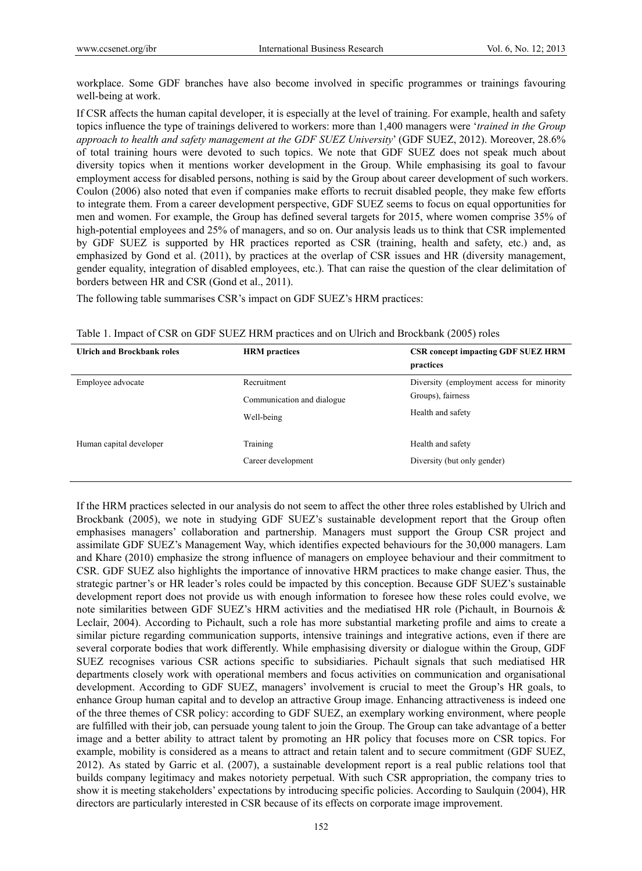workplace. Some GDF branches have also become involved in specific programmes or trainings favouring well-being at work.

If CSR affects the human capital developer, it is especially at the level of training. For example, health and safety topics influence the type of trainings delivered to workers: more than 1,400 managers were '*trained in the Group approach to health and safety management at the GDF SUEZ University*' (GDF SUEZ, 2012). Moreover, 28.6% of total training hours were devoted to such topics. We note that GDF SUEZ does not speak much about diversity topics when it mentions worker development in the Group. While emphasising its goal to favour employment access for disabled persons, nothing is said by the Group about career development of such workers. Coulon (2006) also noted that even if companies make efforts to recruit disabled people, they make few efforts to integrate them. From a career development perspective, GDF SUEZ seems to focus on equal opportunities for men and women. For example, the Group has defined several targets for 2015, where women comprise 35% of high-potential employees and 25% of managers, and so on. Our analysis leads us to think that CSR implemented by GDF SUEZ is supported by HR practices reported as CSR (training, health and safety, etc.) and, as emphasized by Gond et al. (2011), by practices at the overlap of CSR issues and HR (diversity management, gender equality, integration of disabled employees, etc.). That can raise the question of the clear delimitation of borders between HR and CSR (Gond et al., 2011).

The following table summarises CSR's impact on GDF SUEZ's HRM practices:

| <b>Ulrich and Brockbank roles</b> | <b>HRM</b> practices       | <b>CSR</b> concept impacting GDF SUEZ HRM<br>practices                              |
|-----------------------------------|----------------------------|-------------------------------------------------------------------------------------|
| Employee advocate                 | Recruitment                | Diversity (employment access for minority<br>Groups), fairness<br>Health and safety |
|                                   | Communication and dialogue |                                                                                     |
|                                   | Well-being                 |                                                                                     |
| Human capital developer           | Training                   | Health and safety                                                                   |
|                                   | Career development         | Diversity (but only gender)                                                         |

| Table 1. Impact of CSR on GDF SUEZ HRM practices and on Ulrich and Brockbank (2005) roles |  |  |  |
|-------------------------------------------------------------------------------------------|--|--|--|
|-------------------------------------------------------------------------------------------|--|--|--|

If the HRM practices selected in our analysis do not seem to affect the other three roles established by Ulrich and Brockbank (2005), we note in studying GDF SUEZ's sustainable development report that the Group often emphasises managers' collaboration and partnership. Managers must support the Group CSR project and assimilate GDF SUEZ's Management Way, which identifies expected behaviours for the 30,000 managers. Lam and Khare (2010) emphasize the strong influence of managers on employee behaviour and their commitment to CSR. GDF SUEZ also highlights the importance of innovative HRM practices to make change easier. Thus, the strategic partner's or HR leader's roles could be impacted by this conception. Because GDF SUEZ's sustainable development report does not provide us with enough information to foresee how these roles could evolve, we note similarities between GDF SUEZ's HRM activities and the mediatised HR role (Pichault, in Bournois & Leclair, 2004). According to Pichault, such a role has more substantial marketing profile and aims to create a similar picture regarding communication supports, intensive trainings and integrative actions, even if there are several corporate bodies that work differently. While emphasising diversity or dialogue within the Group, GDF SUEZ recognises various CSR actions specific to subsidiaries. Pichault signals that such mediatised HR departments closely work with operational members and focus activities on communication and organisational development. According to GDF SUEZ, managers' involvement is crucial to meet the Group's HR goals, to enhance Group human capital and to develop an attractive Group image. Enhancing attractiveness is indeed one of the three themes of CSR policy: according to GDF SUEZ, an exemplary working environment, where people are fulfilled with their job, can persuade young talent to join the Group. The Group can take advantage of a better image and a better ability to attract talent by promoting an HR policy that focuses more on CSR topics. For example, mobility is considered as a means to attract and retain talent and to secure commitment (GDF SUEZ, 2012). As stated by Garric et al. (2007), a sustainable development report is a real public relations tool that builds company legitimacy and makes notoriety perpetual. With such CSR appropriation, the company tries to show it is meeting stakeholders' expectations by introducing specific policies. According to Saulquin (2004), HR directors are particularly interested in CSR because of its effects on corporate image improvement.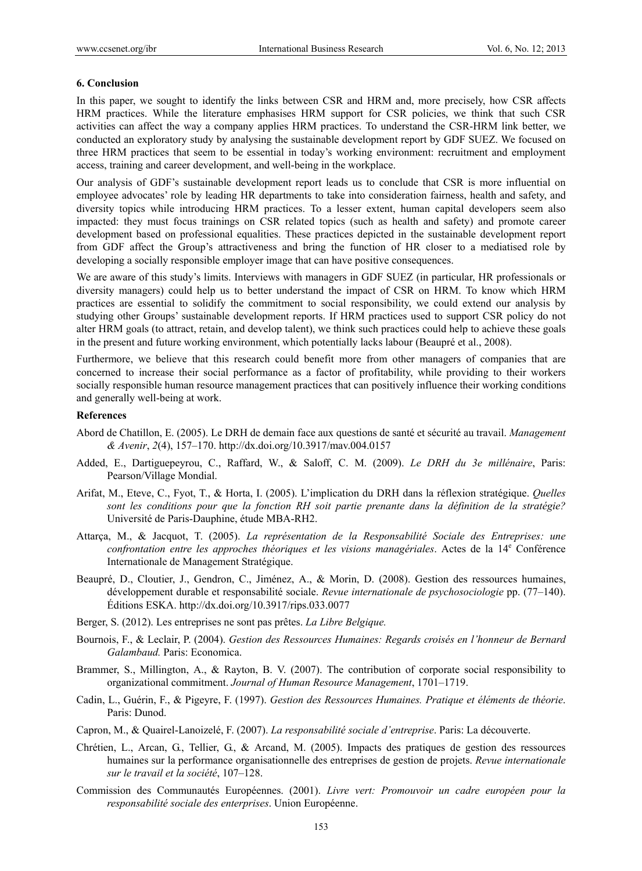#### **6. Conclusion**

In this paper, we sought to identify the links between CSR and HRM and, more precisely, how CSR affects HRM practices. While the literature emphasises HRM support for CSR policies, we think that such CSR activities can affect the way a company applies HRM practices. To understand the CSR-HRM link better, we conducted an exploratory study by analysing the sustainable development report by GDF SUEZ. We focused on three HRM practices that seem to be essential in today's working environment: recruitment and employment access, training and career development, and well-being in the workplace.

Our analysis of GDF's sustainable development report leads us to conclude that CSR is more influential on employee advocates' role by leading HR departments to take into consideration fairness, health and safety, and diversity topics while introducing HRM practices. To a lesser extent, human capital developers seem also impacted: they must focus trainings on CSR related topics (such as health and safety) and promote career development based on professional equalities. These practices depicted in the sustainable development report from GDF affect the Group's attractiveness and bring the function of HR closer to a mediatised role by developing a socially responsible employer image that can have positive consequences.

We are aware of this study's limits. Interviews with managers in GDF SUEZ (in particular, HR professionals or diversity managers) could help us to better understand the impact of CSR on HRM. To know which HRM practices are essential to solidify the commitment to social responsibility, we could extend our analysis by studying other Groups' sustainable development reports. If HRM practices used to support CSR policy do not alter HRM goals (to attract, retain, and develop talent), we think such practices could help to achieve these goals in the present and future working environment, which potentially lacks labour (Beaupré et al., 2008).

Furthermore, we believe that this research could benefit more from other managers of companies that are concerned to increase their social performance as a factor of profitability, while providing to their workers socially responsible human resource management practices that can positively influence their working conditions and generally well-being at work.

### **References**

- Abord de Chatillon, E. (2005). Le DRH de demain face aux questions de santé et sécurité au travail. *Management & Avenir*, *2*(4), 157–170. http://dx.doi.org/10.3917/mav.004.0157
- Added, E., Dartiguepeyrou, C., Raffard, W., & Saloff, C. M. (2009). *Le DRH du 3e millénaire*, Paris: Pearson/Village Mondial.
- Arifat, M., Eteve, C., Fyot, T., & Horta, I. (2005). L'implication du DRH dans la réflexion stratégique. *Quelles sont les conditions pour que la fonction RH soit partie prenante dans la définition de la stratégie?*  Université de Paris-Dauphine, étude MBA-RH2.
- Attarça, M., & Jacquot, T. (2005). *La représentation de la Responsabilité Sociale des Entreprises: une*  confrontation entre les approches théoriques et les visions managériales. Actes de la 14<sup>e</sup> Conférence Internationale de Management Stratégique.
- Beaupré, D., Cloutier, J., Gendron, C., Jiménez, A., & Morin, D. (2008). Gestion des ressources humaines, développement durable et responsabilité sociale. *Revue internationale de psychosociologie* pp. (77–140). Éditions ESKA. http://dx.doi.org/10.3917/rips.033.0077
- Berger, S. (2012). Les entreprises ne sont pas prêtes. *La Libre Belgique.*
- Bournois, F., & Leclair, P. (2004). *Gestion des Ressources Humaines: Regards croisés en l'honneur de Bernard Galambaud.* Paris: Economica.
- Brammer, S., Millington, A., & Rayton, B. V. (2007). The contribution of corporate social responsibility to organizational commitment. *Journal of Human Resource Management*, 1701–1719.
- Cadin, L., Guérin, F., & Pigeyre, F. (1997). *Gestion des Ressources Humaines. Pratique et éléments de théorie*. Paris: Dunod.
- Capron, M., & Quairel-Lanoizelé, F. (2007). *La responsabilité sociale d'entreprise*. Paris: La découverte.
- Chrétien, L., Arcan, G., Tellier, G., & Arcand, M. (2005). Impacts des pratiques de gestion des ressources humaines sur la performance organisationnelle des entreprises de gestion de projets. *Revue internationale sur le travail et la société*, 107–128.
- Commission des Communautés Européennes. (2001). *Livre vert: Promouvoir un cadre européen pour la responsabilité sociale des enterprises*. Union Européenne.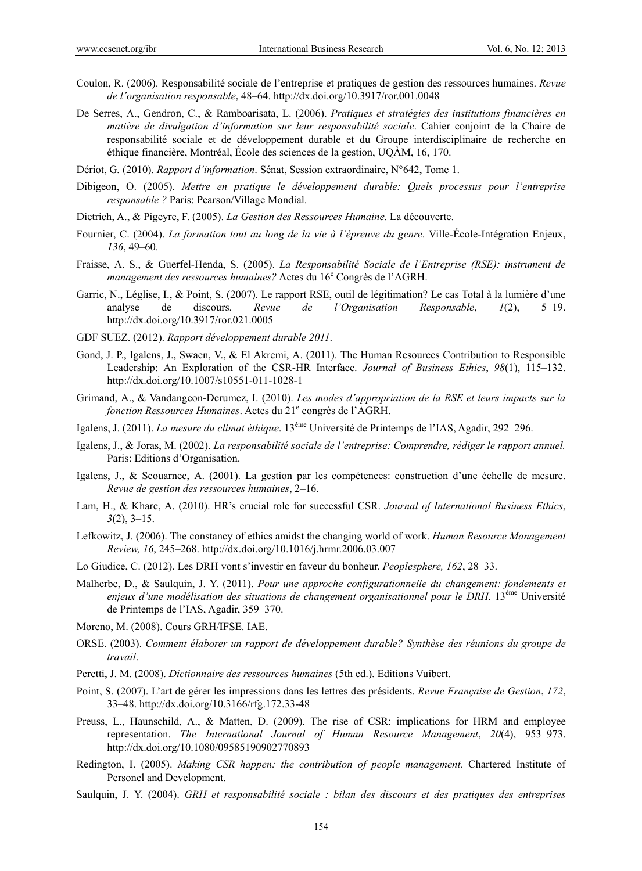- Coulon, R. (2006). Responsabilité sociale de l'entreprise et pratiques de gestion des ressources humaines. *Revue de l'organisation responsable*, 48–64. http://dx.doi.org/10.3917/ror.001.0048
- De Serres, A., Gendron, C., & Ramboarisata, L. (2006). *Pratiques et stratégies des institutions financières en matière de divulgation d'information sur leur responsabilité sociale*. Cahier conjoint de la Chaire de responsabilité sociale et de développement durable et du Groupe interdisciplinaire de recherche en éthique financière, Montréal, École des sciences de la gestion, UQÀM, 16, 170.
- Dériot, G*.* (2010). *Rapport d'information*. Sénat, Session extraordinaire, N°642, Tome 1.
- Dibigeon, O. (2005). *Mettre en pratique le développement durable: Quels processus pour l'entreprise responsable ?* Paris: Pearson/Village Mondial.
- Dietrich, A., & Pigeyre, F. (2005). *La Gestion des Ressources Humaine*. La découverte.
- Fournier, C. (2004). *La formation tout au long de la vie à l'épreuve du genre*. Ville-École-Intégration Enjeux, *136*, 49–60.
- Fraisse, A. S., & Guerfel-Henda, S. (2005). *La Responsabilité Sociale de l'Entreprise (RSE): instrument de*  management des ressources humaines? Actes du 16<sup>e</sup> Congrès de l'AGRH.
- Garric, N., Léglise, I., & Point, S. (2007). Le rapport RSE, outil de légitimation? Le cas Total à la lumière d'une analyse de discours. *Revue de l'Organisation Responsable*, *1*(2), 5–19. http://dx.doi.org/10.3917/ror.021.0005
- GDF SUEZ. (2012). *Rapport développement durable 2011*.
- Gond, J. P., Igalens, J., Swaen, V., & El Akremi, A. (2011). The Human Resources Contribution to Responsible Leadership: An Exploration of the CSR-HR Interface. *Journal of Business Ethics*, *98*(1), 115–132. http://dx.doi.org/10.1007/s10551-011-1028-1
- Grimand, A., & Vandangeon-Derumez, I. (2010). *Les modes d'appropriation de la RSE et leurs impacts sur la*  fonction Ressources Humaines. Actes du 21<sup>e</sup> congrès de l'AGRH.
- Igalens, J. (2011). *La mesure du climat éthique*. 13ème Université de Printemps de l'IAS, Agadir, 292–296.
- Igalens, J., & Joras, M. (2002). *La responsabilité sociale de l'entreprise: Comprendre, rédiger le rapport annuel.* Paris: Editions d'Organisation.
- Igalens, J., & Scouarnec, A. (2001). La gestion par les compétences: construction d'une échelle de mesure. *Revue de gestion des ressources humaines*, 2–16.
- Lam, H., & Khare, A. (2010). HR's crucial role for successful CSR. *Journal of International Business Ethics*, *3*(2), 3–15.
- Lefkowitz, J. (2006). The constancy of ethics amidst the changing world of work. *Human Resource Management Review, 16*, 245–268. http://dx.doi.org/10.1016/j.hrmr.2006.03.007
- Lo Giudice, C. (2012). Les DRH vont s'investir en faveur du bonheur. *Peoplesphere, 162*, 28–33.
- Malherbe, D., & Saulquin, J. Y. (2011). *Pour une approche configurationnelle du changement: fondements et enjeux d'une modélisation des situations de changement organisationnel pour le DRH*. 13ème Université de Printemps de l'IAS, Agadir, 359–370.
- Moreno, M. (2008). Cours GRH/IFSE. IAE.
- ORSE. (2003). *Comment élaborer un rapport de développement durable? Synthèse des réunions du groupe de travail*.
- Peretti, J. M. (2008). *Dictionnaire des ressources humaines* (5th ed.). Editions Vuibert.
- Point, S. (2007). L'art de gérer les impressions dans les lettres des présidents. *Revue Française de Gestion*, *172*, 33–48. http://dx.doi.org/10.3166/rfg.172.33-48
- Preuss, L., Haunschild, A., & Matten, D. (2009). The rise of CSR: implications for HRM and employee representation. *The International Journal of Human Resource Management*, *20*(4), 953–973. http://dx.doi.org/10.1080/09585190902770893
- Redington, I. (2005). *Making CSR happen: the contribution of people management.* Chartered Institute of Personel and Development.
- Saulquin, J. Y. (2004). *GRH et responsabilité sociale : bilan des discours et des pratiques des entreprises*